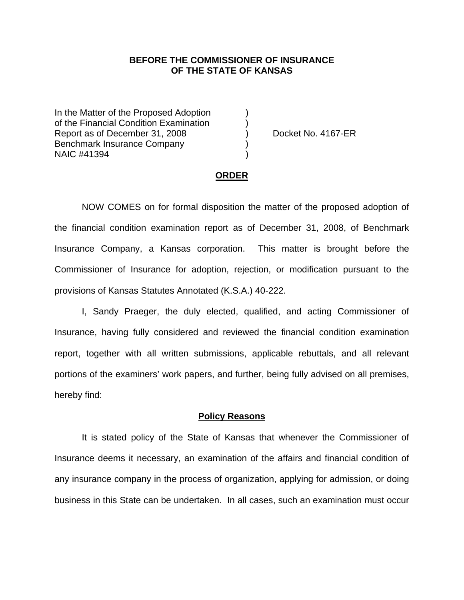## **BEFORE THE COMMISSIONER OF INSURANCE OF THE STATE OF KANSAS**

In the Matter of the Proposed Adoption of the Financial Condition Examination ) Report as of December 31, 2008 (a) Docket No. 4167-ER Benchmark Insurance Company ) NAIC #41394 )

#### **ORDER**

 NOW COMES on for formal disposition the matter of the proposed adoption of the financial condition examination report as of December 31, 2008, of Benchmark Insurance Company, a Kansas corporation. This matter is brought before the Commissioner of Insurance for adoption, rejection, or modification pursuant to the provisions of Kansas Statutes Annotated (K.S.A.) 40-222.

 I, Sandy Praeger, the duly elected, qualified, and acting Commissioner of Insurance, having fully considered and reviewed the financial condition examination report, together with all written submissions, applicable rebuttals, and all relevant portions of the examiners' work papers, and further, being fully advised on all premises, hereby find:

### **Policy Reasons**

 It is stated policy of the State of Kansas that whenever the Commissioner of Insurance deems it necessary, an examination of the affairs and financial condition of any insurance company in the process of organization, applying for admission, or doing business in this State can be undertaken. In all cases, such an examination must occur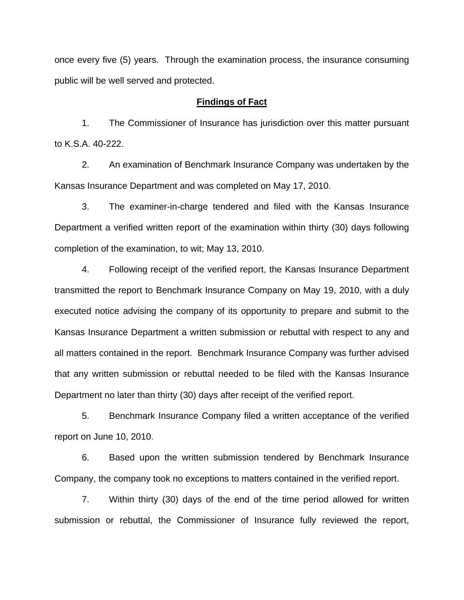once every five (5) years. Through the examination process, the insurance consuming public will be well served and protected.

## **Findings of Fact**

 1. The Commissioner of Insurance has jurisdiction over this matter pursuant to K.S.A. 40-222.

 2. An examination of Benchmark Insurance Company was undertaken by the Kansas Insurance Department and was completed on May 17, 2010.

 3. The examiner-in-charge tendered and filed with the Kansas Insurance Department a verified written report of the examination within thirty (30) days following completion of the examination, to wit; May 13, 2010.

 4. Following receipt of the verified report, the Kansas Insurance Department transmitted the report to Benchmark Insurance Company on May 19, 2010, with a duly executed notice advising the company of its opportunity to prepare and submit to the Kansas Insurance Department a written submission or rebuttal with respect to any and all matters contained in the report. Benchmark Insurance Company was further advised that any written submission or rebuttal needed to be filed with the Kansas Insurance Department no later than thirty (30) days after receipt of the verified report.

 5. Benchmark Insurance Company filed a written acceptance of the verified report on June 10, 2010.

6. Based upon the written submission tendered by Benchmark Insurance Company, the company took no exceptions to matters contained in the verified report.

 7. Within thirty (30) days of the end of the time period allowed for written submission or rebuttal, the Commissioner of Insurance fully reviewed the report,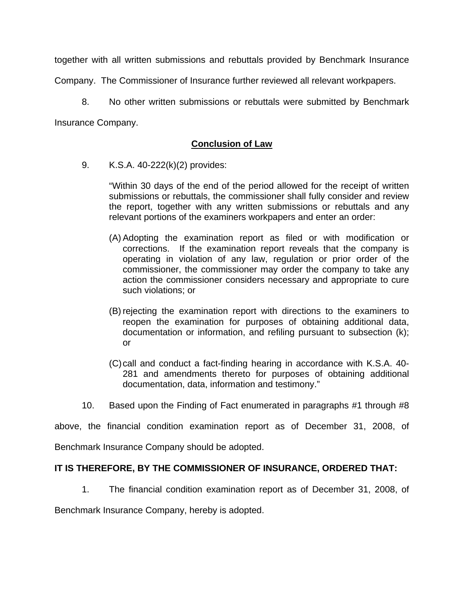together with all written submissions and rebuttals provided by Benchmark Insurance

Company. The Commissioner of Insurance further reviewed all relevant workpapers.

 8. No other written submissions or rebuttals were submitted by Benchmark Insurance Company.

# **Conclusion of Law**

9. K.S.A. 40-222(k)(2) provides:

"Within 30 days of the end of the period allowed for the receipt of written submissions or rebuttals, the commissioner shall fully consider and review the report, together with any written submissions or rebuttals and any relevant portions of the examiners workpapers and enter an order:

- (A) Adopting the examination report as filed or with modification or corrections. If the examination report reveals that the company is operating in violation of any law, regulation or prior order of the commissioner, the commissioner may order the company to take any action the commissioner considers necessary and appropriate to cure such violations; or
- (B) rejecting the examination report with directions to the examiners to reopen the examination for purposes of obtaining additional data, documentation or information, and refiling pursuant to subsection (k); or
- (C) call and conduct a fact-finding hearing in accordance with K.S.A. 40- 281 and amendments thereto for purposes of obtaining additional documentation, data, information and testimony."
- 10. Based upon the Finding of Fact enumerated in paragraphs #1 through #8

above, the financial condition examination report as of December 31, 2008, of

Benchmark Insurance Company should be adopted.

# **IT IS THEREFORE, BY THE COMMISSIONER OF INSURANCE, ORDERED THAT:**

1. The financial condition examination report as of December 31, 2008, of

Benchmark Insurance Company, hereby is adopted.